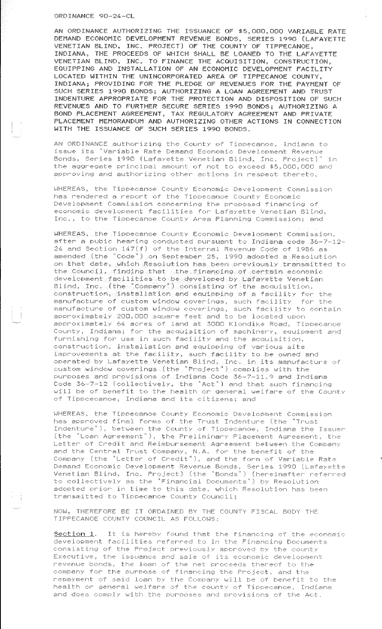## ORDINANCE 90-24-CL

AN ORDINANCE AUTHORIZING THE ISSUANCE OF \$5,000,000 VARIABLE RATE DEMAND ECONOMIC DEVELOPMENT REVENUE BONDS, SERIES 1990 (LAFAYETTE VENETIAN BLIND, INC. PROJECT) OF THE COUNTY OF TIPPECANOE, INDIANA, THE PROCEEDS OF WHICH SHALL BE LOANED TO THE LAFAYETTE VENETIAN BLIND, INC. TO FINANCE THE ACQUISITION, CONSTRUCTION, EQUIPPING AND INSTALLATION OF AN ECONOMIC DEVELOPMENT FACILITY LOCATED WITHIN THE UNINCORPORATED AREA OF TIPPECANOE COUNTY, INDIANA; PROVIDING FOR THE PLEDGE OF REVENUES FOR THE PAYMENT OF SUCH SERIES 1990 BONDS; AUTHORIZING A LOAN AGREEMENT AND TRUST INDENTURE APPROPRIATE FOR THE PROTECTION AND DISPOSITION OF SUCH REVENUES AND TO FURTHER SECURE SERIES 1990 BONDS; AUTHORIZING A BOND PLACEMENT AGREEMENT, TAX REGULATORY AGREEMENT AND PRIVATE PLACEMENT MEMORANDUM AND AUTHORIZING OTHER ACTIONS IN CONNECTION WITH THE ISSUANCE OF SUCH SERIES 1990 BONDS.

AN ORDINANCE authorizing the County of Tippecanoe, Indiana to issue its ''Variable Rate Demand Economic Development Revenue Bonds, Series 1990 (Lafayette Venetian Blind, Inc. Project)'' in the aggregate principal amount of not to exceed \$5,000,000 and approving and authorizing other actions in respect thereto.

WHEREAS, the Tippecanoe County Economic Development Commission has rendered a report of the Tippecanoe County Economic Development Commission concerning the proposed financing of economic development facilities for Lafayette Venetian Blind, Inc., to the Tippecance County Area Planning Commission; and

WHEREAS, the Tippecanoe County Economic Development Commission, after a pubic hearing conducted pursuant to Indiana code 36-7-12-  $24$  and Section  $147(f)$  of the Internal Revenue Code of 1986 as amended (the "Code") on September 25, 1990 adopted a Resolution on that date, which Resolution has been previously transmitted to the Council, finding that the financing of certain economic development facilities to be developed by Lafayette Venetian  $\texttt{Bling}$ ,  $\texttt{Inc}$  (the "Company") consisting of the acquisition, construction, installation and equipping of a facility for the manufacture of custom window coverings, such facility for the manufacture of custom window coverings, such facility to contain approximately 200,000 square feet and to be located upon approximately 64 acres of land at 3000 Klondike Road, Tippecanoe County, Indiana; for the acquisition of machinery, equipment and furnishing for use in such facility and the acquisition, construction, installation and equipping of various site improvements at the facility, such facility to be owned and operated by Lafayette Venetian Blind, Inc. in its manufacture of CL1stom window coverings (the ''Project'') complies with the purposes and provisions of Indiana Code 36-7-11.9 and Indiana Code 36-7-12 (collectively, the ''Act'') and that such financing will be of benefit to the health or general welfare of the County of Tippcecanoe, Indiana and its citizens; and

WHEREAS, the Tippecanoe County Economic Development Commission has approved final forrns of the Trust Indenture (the ''Trust Indenture"), between the County of Tippecance, Indiana the Issuer (the ''Loan Agreement''), the Preliminary Placement Agreement,, the Letter of Credit and Reimbursement Agreement between the Company and the Central Trust Company, N.A. for the benefit of the Company (the "Letter of Credit"), and the form of Variable Rate Demand Economic Venetian Blind, Development Revenue Bonds, Series 1990 lLafayette Inc. Project) (the "Bonds") (hereinafter referred to collectively as the "Financial Documents") by Resolution adopted prior in time to this date, which Resolution has been transmitted to Tippecanoe County Council;

NOW, THEREFORE BE IT ORDAINED BY THE COUNTY FISCAl\_ BODY THE TIPPECANOE COUNTY COUNCIL AS EOLLOWS:

 $\begin{pmatrix} 1 & 1 \\ 1 & 1 \\ 1 & 1 \end{pmatrix}$ 

Section 1. It is hereby found that the financing of the economic development facilities referred to in the Financing Documents consisting of the Project previously approved by the county Executive, the issuance and sale of its economic development revenue bonds, the loan of the net proceeds thereof to the company for the purpose of financing the Project, and the repayment of said loan by the Company will be of benefit to the health or general welfare of the county of Tippecanoe, Indiana and does comply with the purposes and provisions of the Act.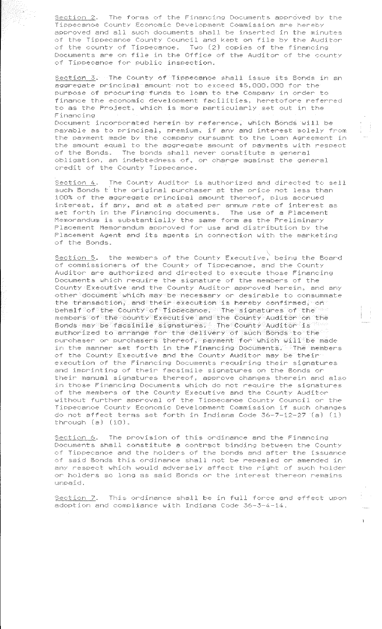Section 2. The forms of the Financing Documents approved by the Tippecanoe County Economic Development Commission are hereby approved and all such documents shall be inserted in the minutes of the Tippecanoe County Council and kept on file bv the Auditor of the county of Tippecanoe. Two (2) copies of the financing Documents are on file in the Office of the Auditor of the county of Tippecanoe for public inspection.

Section 3. The County of Tippecanoe shall issue its Bonds in an aggregate principal amount not to exceed \$5,000,000 for the purpose of procuring funds to loan to the Company in order to finance the economic development facilities. heretofore referred to as the Project. which is more particularly set out in the Financing

Document incorporated herein by reference, which Bonds will be payable as to orincipal, premium, if any and interest solely from the payment made by the company pursuant to the Loan Agreement in the amount equal to the aggregate amount of payments with respect of the Bonds. The bonds shall never constitute a general obligation, an indebtedness of, or charge against the general credit of the County Tippecanoe.

Section 4. The County Auditor is authorized and directed to sell such Bonds t the original purchaser at the price not less than 100% of the aggregate principal amount thereof, plus accrued interest, if any, and at a stated per annum rate of interest as set forth in the Financing documents. The use of a Placement Memorandum ls substantially the same form as the Preliminary Placement Memorandum approved for use and distribution by the Placement Agent and its agents in connection with the marketing of the Bonds.

 $Section$  5. the members of the County Executive, being the Board of commissioners of the County of Tippecanoe, and the County Auditor are authorized and directed to execute those Financing Documents which require the signature of the members of the County Executive and the County Auditor approved herein, and any other document which may be necessary or desirable to consummate the transaction, and their execution is hereby confirmed, on  $\tau$ behalf of the County of Tippecanoe. The signatures of the members of the county Executive and the County Auditor on the Bonds may be facsimile signatures. The County Auditor is authorized to arrange for the delivery of such Bonds to the PL1rchaser or purchasers thereof, payment for which will be made in the manner set forth in the Financing Documents. The members of the County Executive and the County Auditor may be their execution of the Financing Documents requiring their signatures and imprinting of their facsimile signatures on the Bonds or their manual signatures thereof, approve changes therein and also in those Financing Documents which do not require the signatures of the members of the County Executive and the County Auditor without further approval of the Tippecanoe County Council or the Tippecanoe County Economic Development Commission if such changes do not affect terms set forth in Indiana Code 36-7-12-27 (a) (1) through  $(a)$   $(10)$ .

Section 6. The provision of this ordinance and the Financing Documents shall constitute a contract binding between the County of Tippecanoe and the holders of the bonds and after the issuance of said Bonds this ordinance shall not be repealed or amended in any respect which would adversely affect the right of such holder or holders so long as said Bonds or the interest thereon remains unpaid.

Section 7. This ordinance shall be in full force and effect upon adoption and compliance with Indiana Code 36-3-4-14.